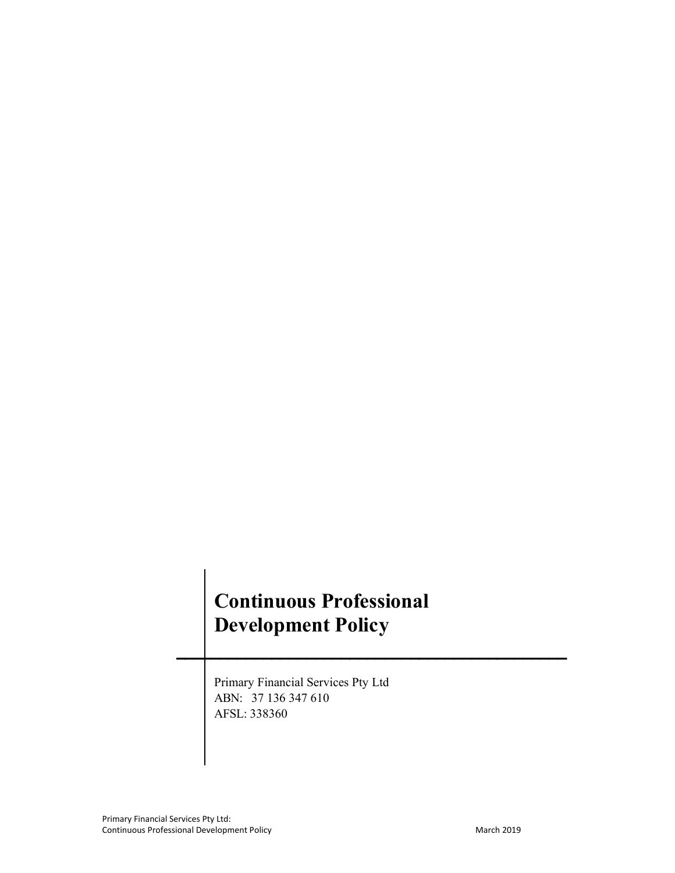# **Continuous Professional Development Policy**

**\_\_\_\_\_\_\_\_\_\_\_\_\_\_\_\_\_\_\_\_\_\_\_\_\_\_\_\_\_\_\_\_\_\_\_\_\_\_\_\_\_\_\_\_\_**

 Primary Financial Services Pty Ltd ABN: 37 136 347 610 AFSL: 338360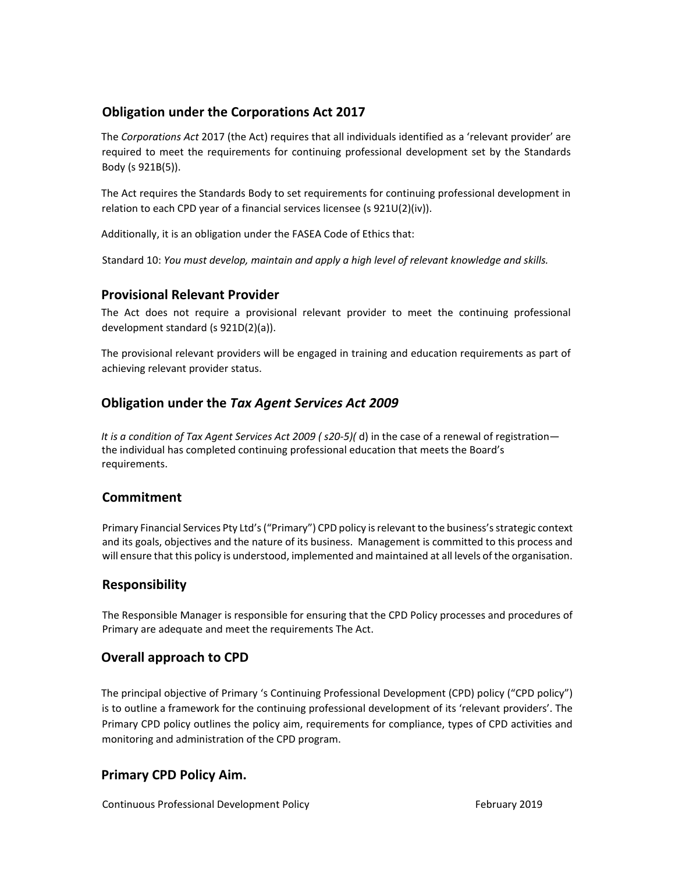## **Obligation under the Corporations Act 2017**

The *Corporations Act* 2017 (the Act) requires that all individuals identified as a 'relevant provider' are required to meet the requirements for continuing professional development set by the Standards Body (s 921B(5)).

The Act requires the Standards Body to set requirements for continuing professional development in relation to each CPD year of a financial services licensee (s 921U(2)(iv)).

Additionally, it is an obligation under the FASEA Code of Ethics that:

Standard 10: *You must develop, maintain and apply a high level of relevant knowledge and skills.*

#### **Provisional Relevant Provider**

The Act does not require a provisional relevant provider to meet the continuing professional development standard (s 921D(2)(a)).

The provisional relevant providers will be engaged in training and education requirements as part of achieving relevant provider status.

#### **Obligation under the** *Tax Agent Services Act 2009*

*It is a condition of Tax Agent Services Act 2009 (s20-5)(d)* in the case of a renewal of registration the individual has completed continuing professional education that meets the Board's requirements.

#### **Commitment**

Primary Financial Services Pty Ltd's ("Primary") CPD policy is relevant to the business's strategic context and its goals, objectives and the nature of its business. Management is committed to this process and will ensure that this policy is understood, implemented and maintained at all levels of the organisation.

#### **Responsibility**

The Responsible Manager is responsible for ensuring that the CPD Policy processes and procedures of Primary are adequate and meet the requirements The Act.

#### **Overall approach to CPD**

The principal objective of Primary 's Continuing Professional Development (CPD) policy ("CPD policy") is to outline a framework for the continuing professional development of its 'relevant providers'. The Primary CPD policy outlines the policy aim, requirements for compliance, types of CPD activities and monitoring and administration of the CPD program.

#### **Primary CPD Policy Aim.**

Continuous Professional Development Policy **Bulgary 2019** February 2019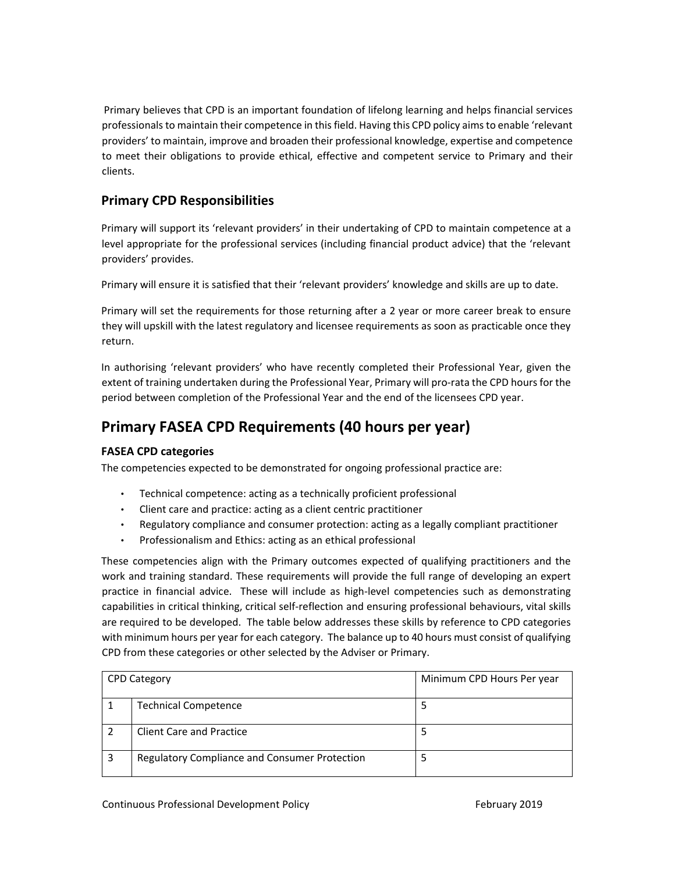Primary believes that CPD is an important foundation of lifelong learning and helps financial services professionals to maintain their competence in this field. Having this CPD policy aims to enable 'relevant providers' to maintain, improve and broaden their professional knowledge, expertise and competence to meet their obligations to provide ethical, effective and competent service to Primary and their clients.

## **Primary CPD Responsibilities**

Primary will support its 'relevant providers' in their undertaking of CPD to maintain competence at a level appropriate for the professional services (including financial product advice) that the 'relevant providers' provides.

Primary will ensure it is satisfied that their 'relevant providers' knowledge and skills are up to date.

Primary will set the requirements for those returning after a 2 year or more career break to ensure they will upskill with the latest regulatory and licensee requirements as soon as practicable once they return.

In authorising 'relevant providers' who have recently completed their Professional Year, given the extent of training undertaken during the Professional Year, Primary will pro-rata the CPD hours for the period between completion of the Professional Year and the end of the licensees CPD year.

# **Primary FASEA CPD Requirements (40 hours per year)**

#### **FASEA CPD categories**

The competencies expected to be demonstrated for ongoing professional practice are:

- Technical competence: acting as a technically proficient professional
- Client care and practice: acting as a client centric practitioner
- Regulatory compliance and consumer protection: acting as a legally compliant practitioner
- Professionalism and Ethics: acting as an ethical professional

These competencies align with the Primary outcomes expected of qualifying practitioners and the work and training standard. These requirements will provide the full range of developing an expert practice in financial advice. These will include as high-level competencies such as demonstrating capabilities in critical thinking, critical self‐reflection and ensuring professional behaviours, vital skills are required to be developed. The table below addresses these skills by reference to CPD categories with minimum hours per year for each category. The balance up to 40 hours must consist of qualifying CPD from these categories or other selected by the Adviser or Primary.

| CPD Category |                                               | Minimum CPD Hours Per year |
|--------------|-----------------------------------------------|----------------------------|
|              | <b>Technical Competence</b>                   |                            |
|              | <b>Client Care and Practice</b>               |                            |
|              | Regulatory Compliance and Consumer Protection |                            |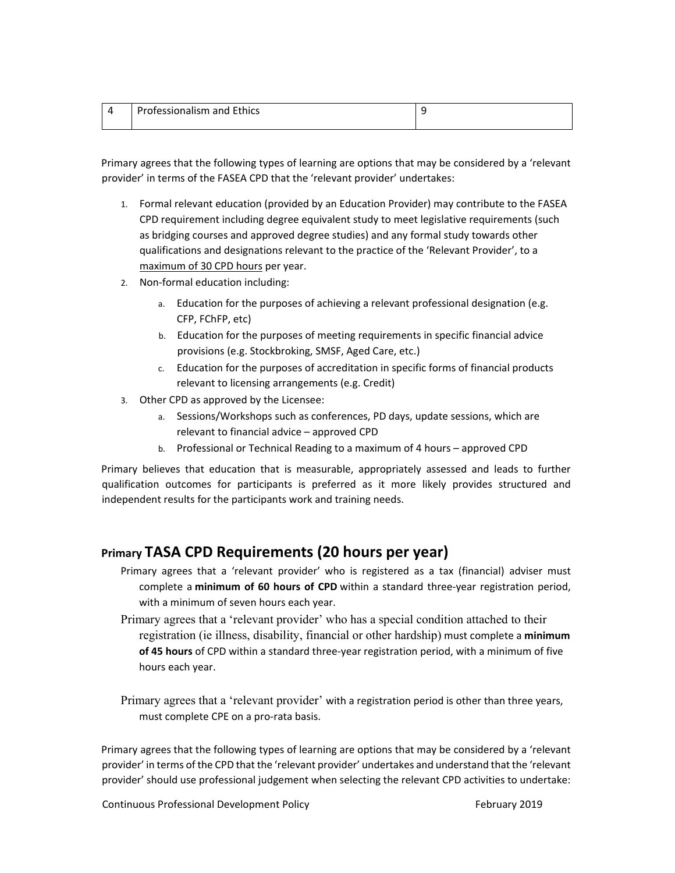| Professionalism and Ethics |  |
|----------------------------|--|
|                            |  |

Primary agrees that the following types of learning are options that may be considered by a 'relevant provider' in terms of the FASEA CPD that the 'relevant provider' undertakes:

- 1. Formal relevant education (provided by an Education Provider) may contribute to the FASEA CPD requirement including degree equivalent study to meet legislative requirements (such as bridging courses and approved degree studies) and any formal study towards other qualifications and designations relevant to the practice of the 'Relevant Provider', to a maximum of 30 CPD hours per year.
- 2. Non‐formal education including:
	- a. Education for the purposes of achieving a relevant professional designation (e.g. CFP, FChFP, etc)
	- b. Education for the purposes of meeting requirements in specific financial advice provisions (e.g. Stockbroking, SMSF, Aged Care, etc.)
	- c. Education for the purposes of accreditation in specific forms of financial products relevant to licensing arrangements (e.g. Credit)
- 3. Other CPD as approved by the Licensee:
	- a. Sessions/Workshops such as conferences, PD days, update sessions, which are relevant to financial advice – approved CPD
	- b. Professional or Technical Reading to a maximum of 4 hours approved CPD

Primary believes that education that is measurable, appropriately assessed and leads to further qualification outcomes for participants is preferred as it more likely provides structured and independent results for the participants work and training needs.

## **Primary TASA CPD Requirements (20 hours per year)**

- Primary agrees that a 'relevant provider' who is registered as a tax (financial) adviser must complete a minimum of 60 hours of CPD within a standard three-year registration period, with a minimum of seven hours each year.
- Primary agrees that a 'relevant provider' who has a special condition attached to their registration (ie illness, disability, financial or other hardship) must complete a **minimum of 45 hours** of CPD within a standard three‐year registration period, with a minimum of five hours each year.

Primary agrees that a 'relevant provider' with a registration period is other than three years, must complete CPE on a pro‐rata basis.

Primary agrees that the following types of learning are options that may be considered by a 'relevant provider' in terms of the CPD that the 'relevant provider' undertakes and understand that the 'relevant provider' should use professional judgement when selecting the relevant CPD activities to undertake:

Continuous Professional Development Policy **1998 1998** February 2019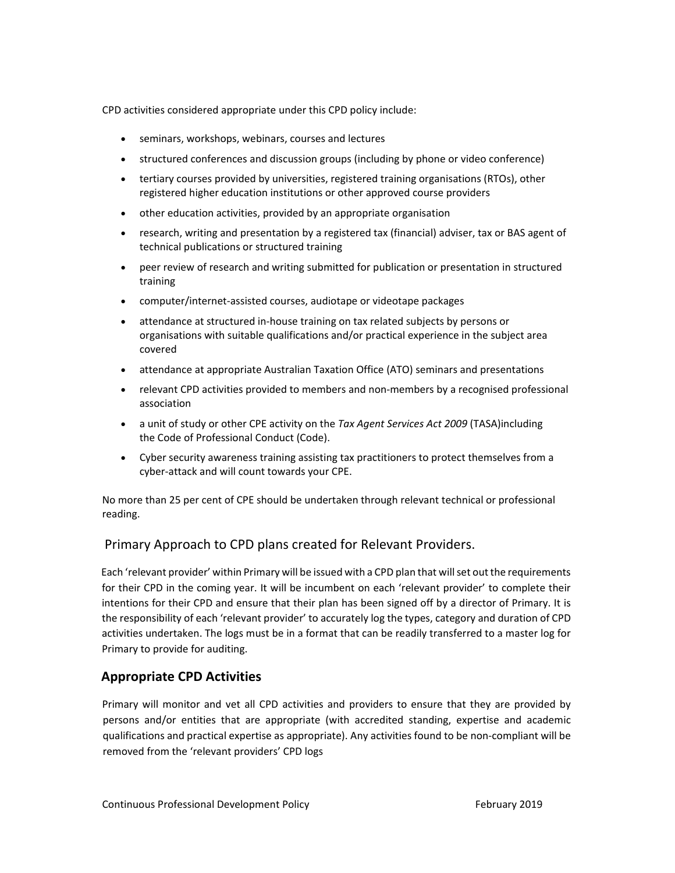CPD activities considered appropriate under this CPD policy include:

- seminars, workshops, webinars, courses and lectures
- structured conferences and discussion groups (including by phone or video conference)
- tertiary courses provided by universities, registered training organisations (RTOs), other registered higher education institutions or other approved course providers
- other education activities, provided by an appropriate organisation
- research, writing and presentation by a registered tax (financial) adviser, tax or BAS agent of technical publications or structured training
- peer review of research and writing submitted for publication or presentation in structured training
- computer/internet‐assisted courses, audiotape or videotape packages
- attendance at structured in‐house training on tax related subjects by persons or organisations with suitable qualifications and/or practical experience in the subject area covered
- attendance at appropriate Australian Taxation Office (ATO) seminars and presentations
- relevant CPD activities provided to members and non-members by a recognised professional association
- a unit of study or other CPE activity on the *Tax Agent Services Act 2009* (TASA)including the Code of Professional Conduct (Code).
- Cyber security awareness training assisting tax practitioners to protect themselves from a cyber‐attack and will count towards your CPE.

No more than 25 per cent of CPE should be undertaken through relevant technical or professional reading.

#### Primary Approach to CPD plans created for Relevant Providers.

Each 'relevant provider' within Primary will be issued with a CPD plan that will set out the requirements for their CPD in the coming year. It will be incumbent on each 'relevant provider' to complete their intentions for their CPD and ensure that their plan has been signed off by a director of Primary. It is the responsibility of each 'relevant provider' to accurately log the types, category and duration of CPD activities undertaken. The logs must be in a format that can be readily transferred to a master log for Primary to provide for auditing.

#### **Appropriate CPD Activities**

Primary will monitor and vet all CPD activities and providers to ensure that they are provided by persons and/or entities that are appropriate (with accredited standing, expertise and academic qualifications and practical expertise as appropriate). Any activities found to be non‐compliant will be removed from the 'relevant providers' CPD logs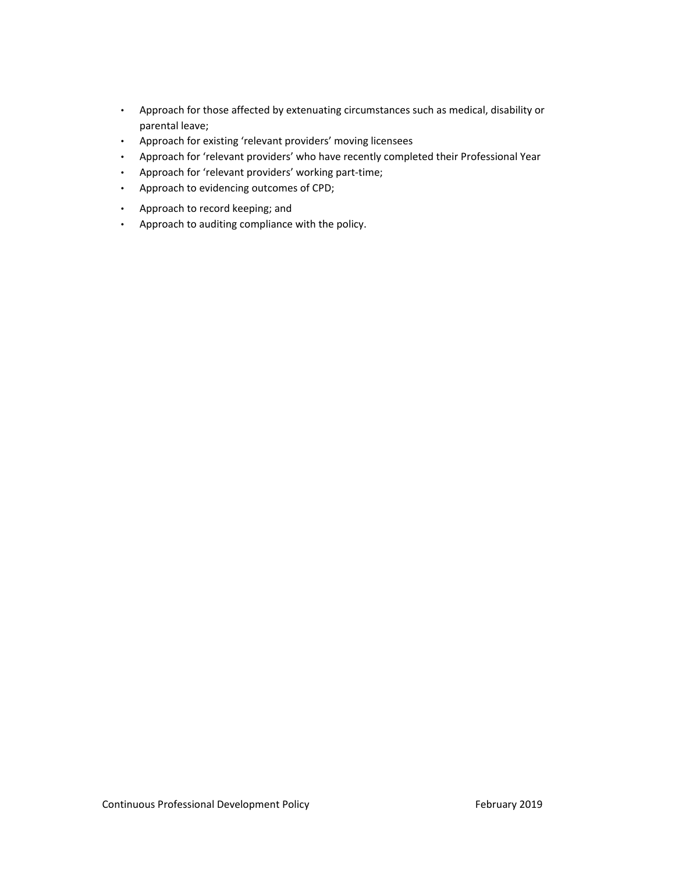- Approach for those affected by extenuating circumstances such as medical, disability or parental leave;
- Approach for existing 'relevant providers' moving licensees
- Approach for 'relevant providers' who have recently completed their Professional Year
- Approach for 'relevant providers' working part‐time;
- Approach to evidencing outcomes of CPD;
- Approach to record keeping; and
- Approach to auditing compliance with the policy.